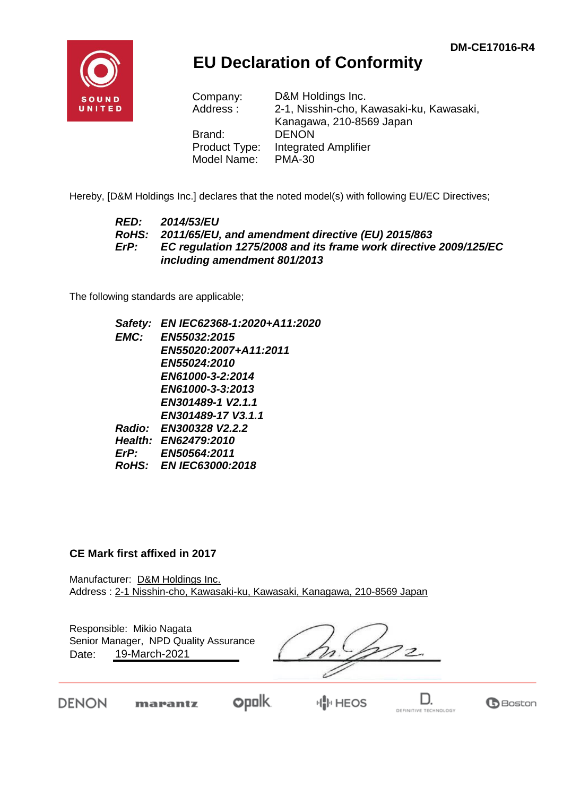**B**Boston

DEFINITIVE TECHNOLOGY



## **EU Declaration of Conformity**

| Company:      | D&M Holdings Inc.                        |
|---------------|------------------------------------------|
| Address:      | 2-1, Nisshin-cho, Kawasaki-ku, Kawasaki, |
|               | Kanagawa, 210-8569 Japan                 |
| Brand:        | <b>DENON</b>                             |
| Product Type: | <b>Integrated Amplifier</b>              |
| Model Name:   | <b>PMA-30</b>                            |

Hereby, [D&M Holdings Inc.] declares that the noted model(s) with following EU/EC Directives;

## *RED: 2014/53/EU RoHS: 2011/65/EU, and amendment directive (EU) 2015/863 ErP: EC regulation 1275/2008 and its frame work directive 2009/125/EC including amendment 801/2013*

The following standards are applicable;

*Safety: EN IEC62368-1:2020+A11:2020 EMC: EN55032:2015 EN55020:2007+A11:2011 EN55024:2010 EN61000-3-2:2014 EN61000-3-3:2013 EN301489-1 V2.1.1 EN301489-17 V3.1.1 Radio: EN300328 V2.2.2 Health: EN62479:2010 ErP: EN50564:2011 RoHS: EN IEC63000:2018*

## **CE Mark first affixed in 2017**

Manufacturer: D&M Holdings Inc. Address : 2-1 Nisshin-cho, Kawasaki-ku, Kawasaki, Kanagawa, 210-8569 Japan

| Responsible: Mikio Nagata<br>Senior Manager, NPD Quality Assurance<br>19-March-2021<br>Date: |  |  |  |  |
|----------------------------------------------------------------------------------------------|--|--|--|--|